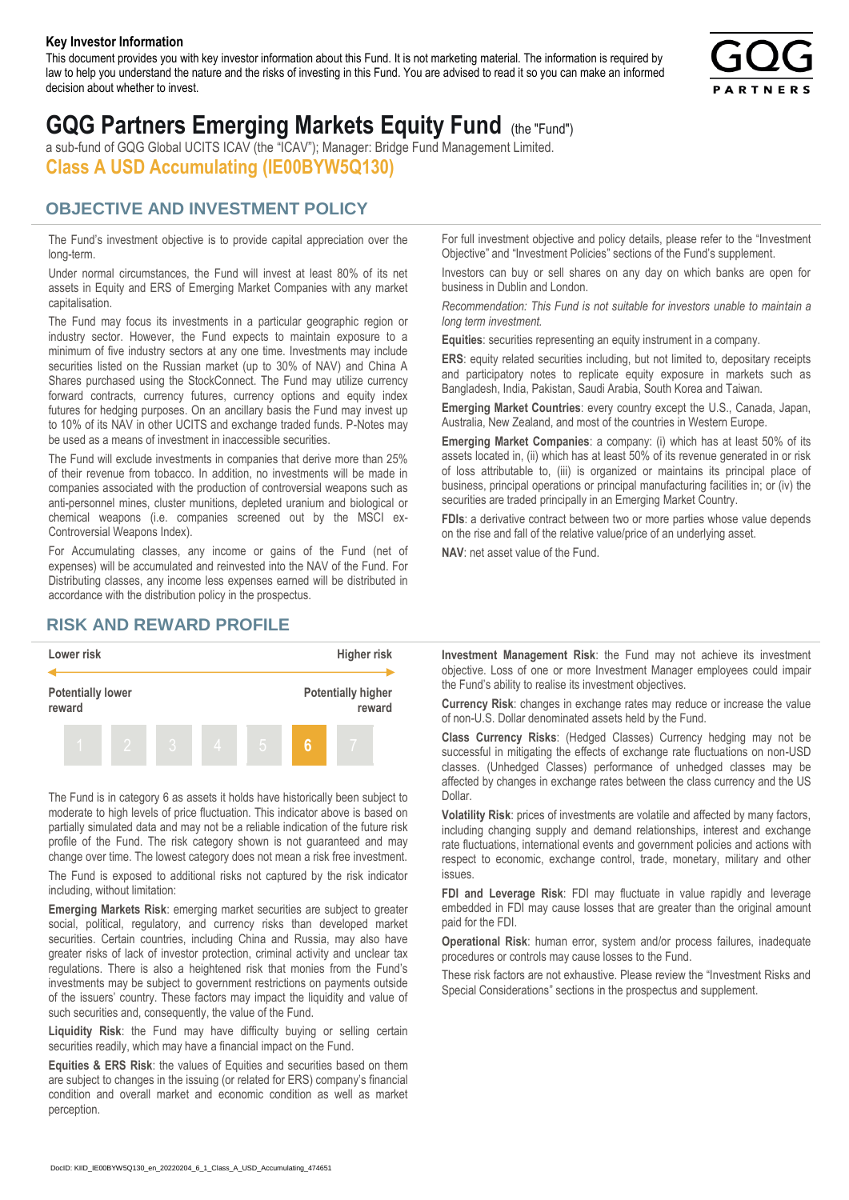#### **Key Investor Information**

This document provides you with key investor information about this Fund. It is not marketing material. The information is required by law to help you understand the nature and the risks of investing in this Fund. You are advised to read it so you can make an informed decision about whether to invest.



# **GQG Partners Emerging Markets Equity Fund** (the "Fund")

a sub-fund of GQG Global UCITS ICAV (the "ICAV"); Manager: Bridge Fund Management Limited. **Class A USD Accumulating (IE00BYW5Q130)**

### **OBJECTIVE AND INVESTMENT POLICY**

The Fund's investment objective is to provide capital appreciation over the long-term.

Under normal circumstances, the Fund will invest at least 80% of its net assets in Equity and ERS of Emerging Market Companies with any market capitalisation.

The Fund may focus its investments in a particular geographic region or industry sector. However, the Fund expects to maintain exposure to a minimum of five industry sectors at any one time. Investments may include securities listed on the Russian market (up to 30% of NAV) and China A Shares purchased using the StockConnect. The Fund may utilize currency forward contracts, currency futures, currency options and equity index futures for hedging purposes. On an ancillary basis the Fund may invest up to 10% of its NAV in other UCITS and exchange traded funds. P-Notes may be used as a means of investment in inaccessible securities.

The Fund will exclude investments in companies that derive more than 25% of their revenue from tobacco. In addition, no investments will be made in companies associated with the production of controversial weapons such as anti-personnel mines, cluster munitions, depleted uranium and biological or chemical weapons (i.e. companies screened out by the MSCI ex-Controversial Weapons Index).

For Accumulating classes, any income or gains of the Fund (net of expenses) will be accumulated and reinvested into the NAV of the Fund. For Distributing classes, any income less expenses earned will be distributed in accordance with the distribution policy in the prospectus.

## **RISK AND REWARD PROFILE**



The Fund is in category 6 as assets it holds have historically been subject to moderate to high levels of price fluctuation. This indicator above is based on partially simulated data and may not be a reliable indication of the future risk profile of the Fund. The risk category shown is not guaranteed and may change over time. The lowest category does not mean a risk free investment.

The Fund is exposed to additional risks not captured by the risk indicator including, without limitation:

**Emerging Markets Risk**: emerging market securities are subject to greater social, political, regulatory, and currency risks than developed market securities. Certain countries, including China and Russia, may also have greater risks of lack of investor protection, criminal activity and unclear tax regulations. There is also a heightened risk that monies from the Fund's investments may be subject to government restrictions on payments outside of the issuers' country. These factors may impact the liquidity and value of such securities and, consequently, the value of the Fund.

**Liquidity Risk**: the Fund may have difficulty buying or selling certain securities readily, which may have a financial impact on the Fund.

**Equities & ERS Risk**: the values of Equities and securities based on them are subject to changes in the issuing (or related for ERS) company's financial condition and overall market and economic condition as well as market perception.

For full investment objective and policy details, please refer to the "Investment Objective" and "Investment Policies" sections of the Fund's supplement.

Investors can buy or sell shares on any day on which banks are open for business in Dublin and London.

*Recommendation: This Fund is not suitable for investors unable to maintain a long term investment.*

**Equities**: securities representing an equity instrument in a company.

**ERS:** equity related securities including, but not limited to, depositary receipts and participatory notes to replicate equity exposure in markets such as Bangladesh, India, Pakistan, Saudi Arabia, South Korea and Taiwan.

**Emerging Market Countries**: every country except the U.S., Canada, Japan, Australia, New Zealand, and most of the countries in Western Europe.

**Emerging Market Companies**: a company: (i) which has at least 50% of its assets located in, (ii) which has at least 50% of its revenue generated in or risk of loss attributable to, (iii) is organized or maintains its principal place of business, principal operations or principal manufacturing facilities in; or (iv) the securities are traded principally in an Emerging Market Country.

**FDIs**: a derivative contract between two or more parties whose value depends on the rise and fall of the relative value/price of an underlying asset.

**NAV**: net asset value of the Fund.

**Investment Management Risk**: the Fund may not achieve its investment objective. Loss of one or more Investment Manager employees could impair the Fund's ability to realise its investment objectives.

**Currency Risk**: changes in exchange rates may reduce or increase the value of non-U.S. Dollar denominated assets held by the Fund.

**Class Currency Risks**: (Hedged Classes) Currency hedging may not be successful in mitigating the effects of exchange rate fluctuations on non-USD classes. (Unhedged Classes) performance of unhedged classes may be affected by changes in exchange rates between the class currency and the US Dollar.

**Volatility Risk**: prices of investments are volatile and affected by many factors, including changing supply and demand relationships, interest and exchange rate fluctuations, international events and government policies and actions with respect to economic, exchange control, trade, monetary, military and other issues.

**FDI and Leverage Risk**: FDI may fluctuate in value rapidly and leverage embedded in FDI may cause losses that are greater than the original amount paid for the FDI.

**Operational Risk**: human error, system and/or process failures, inadequate procedures or controls may cause losses to the Fund.

These risk factors are not exhaustive. Please review the "Investment Risks and Special Considerations" sections in the prospectus and supplement.